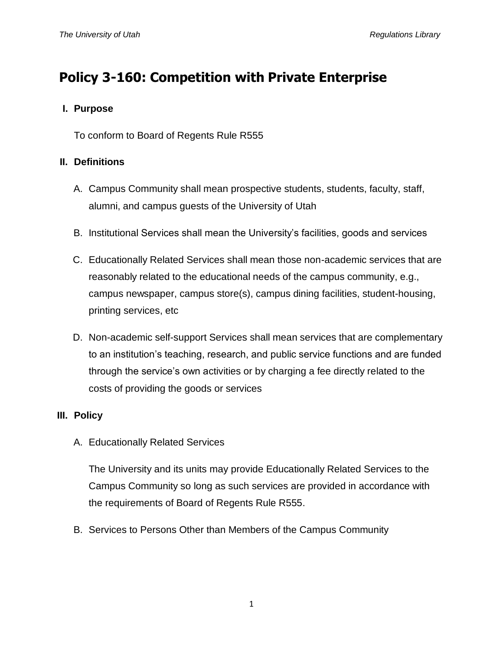# **Policy 3-160: Competition with Private Enterprise**

### **I. Purpose**

To conform to Board of Regents Rule R555

## **II. Definitions**

- A. Campus Community shall mean prospective students, students, faculty, staff, alumni, and campus guests of the University of Utah
- B. Institutional Services shall mean the University's facilities, goods and services
- C. Educationally Related Services shall mean those non-academic services that are reasonably related to the educational needs of the campus community, e.g., campus newspaper, campus store(s), campus dining facilities, student-housing, printing services, etc
- D. Non-academic self-support Services shall mean services that are complementary to an institution's teaching, research, and public service functions and are funded through the service's own activities or by charging a fee directly related to the costs of providing the goods or services

# **III. Policy**

A. Educationally Related Services

The University and its units may provide Educationally Related Services to the Campus Community so long as such services are provided in accordance with the requirements of Board of Regents Rule R555.

B. Services to Persons Other than Members of the Campus Community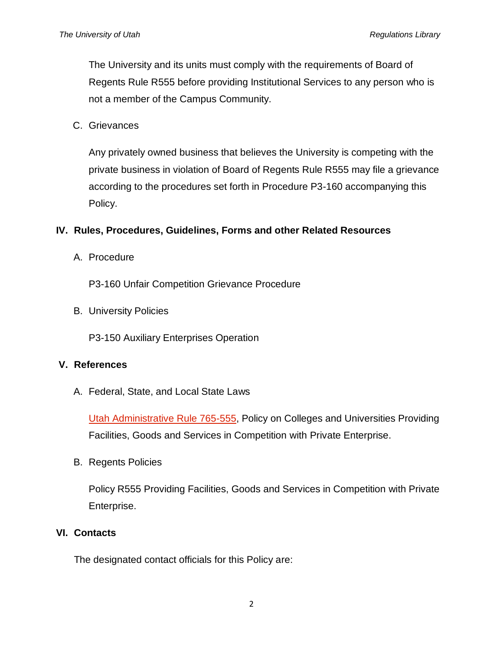The University and its units must comply with the requirements of Board of Regents Rule R555 before providing Institutional Services to any person who is not a member of the Campus Community.

C. Grievances

Any privately owned business that believes the University is competing with the private business in violation of Board of Regents Rule R555 may file a grievance according to the procedures set forth in Procedure P3-160 accompanying this Policy.

### **IV. Rules, Procedures, Guidelines, Forms and other Related Resources**

A. Procedure

P3-160 Unfair Competition Grievance Procedure

B. University Policies

P3-150 Auxiliary Enterprises Operation

#### **V. References**

A. Federal, State, and Local State Laws

[Utah Administrative Rule 765-555,](http://www.rules.utah.gov/publicat/code/r765/r765-555.htm) Policy on Colleges and Universities Providing Facilities, Goods and Services in Competition with Private Enterprise.

B. Regents Policies

Policy R555 Providing Facilities, Goods and Services in Competition with Private Enterprise.

#### **VI. Contacts**

The designated contact officials for this Policy are: